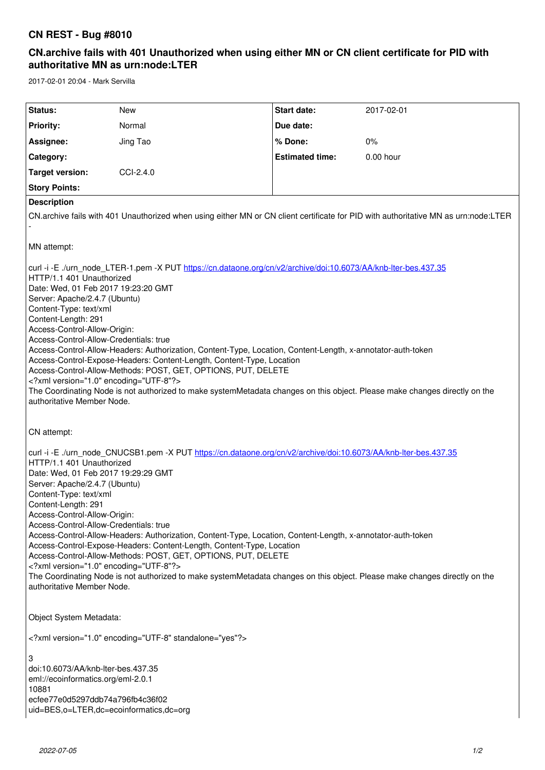## **CN REST - Bug #8010**

## **CN.archive fails with 401 Unauthorized when using either MN or CN client certificate for PID with authoritative MN as urn:node:LTER**

2017-02-01 20:04 - Mark Servilla

| Status:<br>Start date:<br>New<br>2017-02-01<br><b>Priority:</b><br>Normal<br>Due date:<br>Jing Tao<br>% Done:<br>0%<br>Assignee:<br><b>Estimated time:</b><br>$0.00$ hour<br>Category:<br>CCI-2.4.0<br><b>Target version:</b><br><b>Story Points:</b><br><b>Description</b><br>CN archive fails with 401 Unauthorized when using either MN or CN client certificate for PID with authoritative MN as urn:node:LTER<br>MN attempt:<br>curl -i -E ./urn_node_LTER-1.pem -X PUT https://cn.dataone.org/cn/v2/archive/doi:10.6073/AA/knb-lter-bes.437.35<br>HTTP/1.1 401 Unauthorized<br>Date: Wed, 01 Feb 2017 19:23:20 GMT<br>Server: Apache/2.4.7 (Ubuntu)<br>Content-Type: text/xml<br>Content-Length: 291<br>Access-Control-Allow-Origin:<br>Access-Control-Allow-Credentials: true<br>Access-Control-Allow-Headers: Authorization, Content-Type, Location, Content-Length, x-annotator-auth-token<br>Access-Control-Expose-Headers: Content-Length, Content-Type, Location<br>Access-Control-Allow-Methods: POST, GET, OPTIONS, PUT, DELETE<br>xml version="1.0" encoding="UTF-8"?<br>The Coordinating Node is not authorized to make systemMetadata changes on this object. Please make changes directly on the<br>authoritative Member Node.<br>CN attempt:<br>curl -i -E ./urn_node_CNUCSB1.pem -X PUT https://cn.dataone.org/cn/v2/archive/doi:10.6073/AA/knb-lter-bes.437.35<br>HTTP/1.1 401 Unauthorized<br>Date: Wed, 01 Feb 2017 19:29:29 GMT<br>Server: Apache/2.4.7 (Ubuntu)<br>Content-Type: text/xml<br>Content-Length: 291<br>Access-Control-Allow-Origin:<br>Access-Control-Allow-Credentials: true<br>Access-Control-Allow-Headers: Authorization, Content-Type, Location, Content-Length, x-annotator-auth-token<br>Access-Control-Expose-Headers: Content-Length, Content-Type, Location<br>Access-Control-Allow-Methods: POST, GET, OPTIONS, PUT, DELETE<br>xml version="1.0" encoding="UTF-8"?<br>The Coordinating Node is not authorized to make systemMetadata changes on this object. Please make changes directly on the<br>authoritative Member Node.<br>Object System Metadata:<br>xml version="1.0" encoding="UTF-8" standalone="yes"?<br>3<br>doi:10.6073/AA/knb-lter-bes.437.35<br>eml://ecoinformatics.org/eml-2.0.1<br>10881<br>ecfee77e0d5297ddb74a796fb4c36f02 |  |  |  |  |  |
|--------------------------------------------------------------------------------------------------------------------------------------------------------------------------------------------------------------------------------------------------------------------------------------------------------------------------------------------------------------------------------------------------------------------------------------------------------------------------------------------------------------------------------------------------------------------------------------------------------------------------------------------------------------------------------------------------------------------------------------------------------------------------------------------------------------------------------------------------------------------------------------------------------------------------------------------------------------------------------------------------------------------------------------------------------------------------------------------------------------------------------------------------------------------------------------------------------------------------------------------------------------------------------------------------------------------------------------------------------------------------------------------------------------------------------------------------------------------------------------------------------------------------------------------------------------------------------------------------------------------------------------------------------------------------------------------------------------------------------------------------------------------------------------------------------------------------------------------------------------------------------------------------------------------------------------------------------------------------------------------------------------------------------------------------------------------------------------------------------------------------------------------------------------------------------------------------------------------------------------------------------------------------------------------------|--|--|--|--|--|
|                                                                                                                                                                                                                                                                                                                                                                                                                                                                                                                                                                                                                                                                                                                                                                                                                                                                                                                                                                                                                                                                                                                                                                                                                                                                                                                                                                                                                                                                                                                                                                                                                                                                                                                                                                                                                                                                                                                                                                                                                                                                                                                                                                                                                                                                                                  |  |  |  |  |  |
|                                                                                                                                                                                                                                                                                                                                                                                                                                                                                                                                                                                                                                                                                                                                                                                                                                                                                                                                                                                                                                                                                                                                                                                                                                                                                                                                                                                                                                                                                                                                                                                                                                                                                                                                                                                                                                                                                                                                                                                                                                                                                                                                                                                                                                                                                                  |  |  |  |  |  |
|                                                                                                                                                                                                                                                                                                                                                                                                                                                                                                                                                                                                                                                                                                                                                                                                                                                                                                                                                                                                                                                                                                                                                                                                                                                                                                                                                                                                                                                                                                                                                                                                                                                                                                                                                                                                                                                                                                                                                                                                                                                                                                                                                                                                                                                                                                  |  |  |  |  |  |
|                                                                                                                                                                                                                                                                                                                                                                                                                                                                                                                                                                                                                                                                                                                                                                                                                                                                                                                                                                                                                                                                                                                                                                                                                                                                                                                                                                                                                                                                                                                                                                                                                                                                                                                                                                                                                                                                                                                                                                                                                                                                                                                                                                                                                                                                                                  |  |  |  |  |  |
|                                                                                                                                                                                                                                                                                                                                                                                                                                                                                                                                                                                                                                                                                                                                                                                                                                                                                                                                                                                                                                                                                                                                                                                                                                                                                                                                                                                                                                                                                                                                                                                                                                                                                                                                                                                                                                                                                                                                                                                                                                                                                                                                                                                                                                                                                                  |  |  |  |  |  |
|                                                                                                                                                                                                                                                                                                                                                                                                                                                                                                                                                                                                                                                                                                                                                                                                                                                                                                                                                                                                                                                                                                                                                                                                                                                                                                                                                                                                                                                                                                                                                                                                                                                                                                                                                                                                                                                                                                                                                                                                                                                                                                                                                                                                                                                                                                  |  |  |  |  |  |
|                                                                                                                                                                                                                                                                                                                                                                                                                                                                                                                                                                                                                                                                                                                                                                                                                                                                                                                                                                                                                                                                                                                                                                                                                                                                                                                                                                                                                                                                                                                                                                                                                                                                                                                                                                                                                                                                                                                                                                                                                                                                                                                                                                                                                                                                                                  |  |  |  |  |  |
|                                                                                                                                                                                                                                                                                                                                                                                                                                                                                                                                                                                                                                                                                                                                                                                                                                                                                                                                                                                                                                                                                                                                                                                                                                                                                                                                                                                                                                                                                                                                                                                                                                                                                                                                                                                                                                                                                                                                                                                                                                                                                                                                                                                                                                                                                                  |  |  |  |  |  |
|                                                                                                                                                                                                                                                                                                                                                                                                                                                                                                                                                                                                                                                                                                                                                                                                                                                                                                                                                                                                                                                                                                                                                                                                                                                                                                                                                                                                                                                                                                                                                                                                                                                                                                                                                                                                                                                                                                                                                                                                                                                                                                                                                                                                                                                                                                  |  |  |  |  |  |
|                                                                                                                                                                                                                                                                                                                                                                                                                                                                                                                                                                                                                                                                                                                                                                                                                                                                                                                                                                                                                                                                                                                                                                                                                                                                                                                                                                                                                                                                                                                                                                                                                                                                                                                                                                                                                                                                                                                                                                                                                                                                                                                                                                                                                                                                                                  |  |  |  |  |  |
|                                                                                                                                                                                                                                                                                                                                                                                                                                                                                                                                                                                                                                                                                                                                                                                                                                                                                                                                                                                                                                                                                                                                                                                                                                                                                                                                                                                                                                                                                                                                                                                                                                                                                                                                                                                                                                                                                                                                                                                                                                                                                                                                                                                                                                                                                                  |  |  |  |  |  |
|                                                                                                                                                                                                                                                                                                                                                                                                                                                                                                                                                                                                                                                                                                                                                                                                                                                                                                                                                                                                                                                                                                                                                                                                                                                                                                                                                                                                                                                                                                                                                                                                                                                                                                                                                                                                                                                                                                                                                                                                                                                                                                                                                                                                                                                                                                  |  |  |  |  |  |
|                                                                                                                                                                                                                                                                                                                                                                                                                                                                                                                                                                                                                                                                                                                                                                                                                                                                                                                                                                                                                                                                                                                                                                                                                                                                                                                                                                                                                                                                                                                                                                                                                                                                                                                                                                                                                                                                                                                                                                                                                                                                                                                                                                                                                                                                                                  |  |  |  |  |  |
|                                                                                                                                                                                                                                                                                                                                                                                                                                                                                                                                                                                                                                                                                                                                                                                                                                                                                                                                                                                                                                                                                                                                                                                                                                                                                                                                                                                                                                                                                                                                                                                                                                                                                                                                                                                                                                                                                                                                                                                                                                                                                                                                                                                                                                                                                                  |  |  |  |  |  |
| uid=BES,o=LTER,dc=ecoinformatics,dc=org                                                                                                                                                                                                                                                                                                                                                                                                                                                                                                                                                                                                                                                                                                                                                                                                                                                                                                                                                                                                                                                                                                                                                                                                                                                                                                                                                                                                                                                                                                                                                                                                                                                                                                                                                                                                                                                                                                                                                                                                                                                                                                                                                                                                                                                          |  |  |  |  |  |